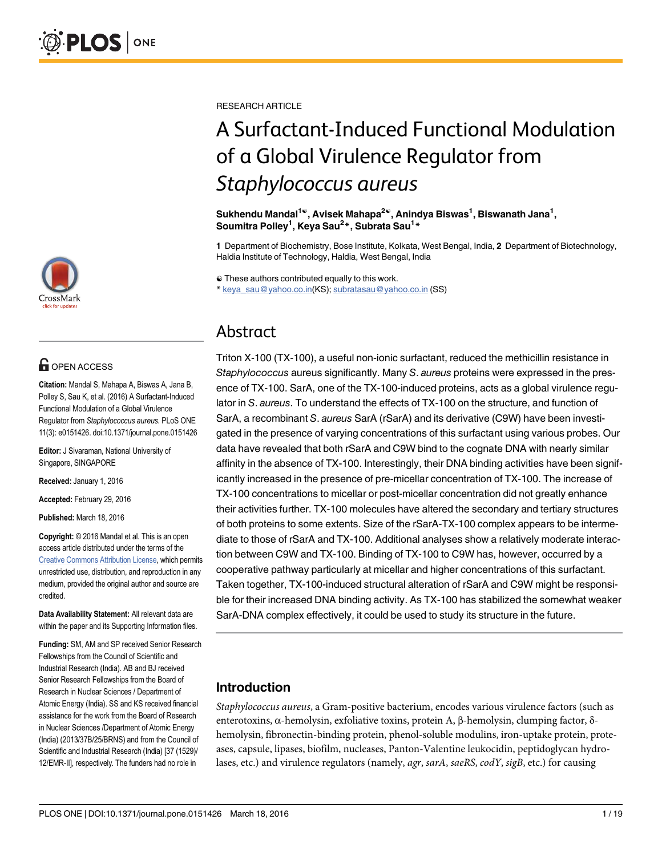

# **G** OPEN ACCESS

Citation: Mandal S, Mahapa A, Biswas A, Jana B, Polley S, Sau K, et al. (2016) A Surfactant-Induced Functional Modulation of a Global Virulence Regulator from Staphylococcus aureus. PLoS ONE 11(3): e0151426. doi:10.1371/journal.pone.0151426

Editor: J Sivaraman, National University of Singapore, SINGAPORE

Received: January 1, 2016

Accepted: February 29, 2016

Published: March 18, 2016

Copyright: © 2016 Mandal et al. This is an open access article distributed under the terms of the Creative Commons Attribution License, which permits unrestricted use, distribution, and reproduction in any medium, provided the original author and source are credited.

Data Availability Statement: All relevant data are within the paper and its Supporting Information files.

Funding: SM, AM and SP received Senior Research Fellowships from the Council of Scientific and Industrial Research (India). AB and BJ received Senior Research Fellowships from the Board of Research in Nuclear Sciences / Department of Atomic Energy (India). SS and KS received financial assistance for the work from the Board of Research in Nuclear Sciences /Department of Atomic Energy (India) (2013/37B/25/BRNS) and from the Council of Scientific and Industrial Research (India) [37 (1529)/ 12/EMR-II], respectively. The funders had no role in

RESEARCH ARTICLE

# A Surfactant-Induced Functional Modulation of a Global Virulence Regulator from Staphylococcus aureus

Sukhendu Mandal<sup>1©</sup>, Avisek Mahapa<sup>2©</sup>, Anindya Biswas<sup>1</sup>, Biswanath Jana<sup>1</sup>, Soumitra Polley<sup>1</sup>, Keya Sau<sup>2</sup>\*, Subrata Sau<sup>1</sup>\*

1 Department of Biochemistry, Bose Institute, Kolkata, West Bengal, India, 2 Department of Biotechnology, Haldia Institute of Technology, Haldia, West Bengal, India

☯ These authors contributed equally to this work.

\* keya\_sau@yahoo.co.in(KS); subratasau@yahoo.co.in (SS)

# Abstract

Triton X-100 (TX-100), a useful non-ionic surfactant, reduced the methicillin resistance in Staphylococcus aureus significantly. Many S. aureus proteins were expressed in the presence of TX-100. SarA, one of the TX-100-induced proteins, acts as a global virulence regulator in S. aureus. To understand the effects of TX-100 on the structure, and function of SarA, a recombinant S. aureus SarA (rSarA) and its derivative (C9W) have been investigated in the presence of varying concentrations of this surfactant using various probes. Our data have revealed that both rSarA and C9W bind to the cognate DNA with nearly similar affinity in the absence of TX-100. Interestingly, their DNA binding activities have been significantly increased in the presence of pre-micellar concentration of TX-100. The increase of TX-100 concentrations to micellar or post-micellar concentration did not greatly enhance their activities further. TX-100 molecules have altered the secondary and tertiary structures of both proteins to some extents. Size of the rSarA-TX-100 complex appears to be intermediate to those of rSarA and TX-100. Additional analyses show a relatively moderate interaction between C9W and TX-100. Binding of TX-100 to C9W has, however, occurred by a cooperative pathway particularly at micellar and higher concentrations of this surfactant. Taken together, TX-100-induced structural alteration of rSarA and C9W might be responsible for their increased DNA binding activity. As TX-100 has stabilized the somewhat weaker SarA-DNA complex effectively, it could be used to study its structure in the future.

# Introduction

Staphylococcus aureus, a Gram-positive bacterium, encodes various virulence factors (such as enterotoxins, α-hemolysin, exfoliative toxins, protein A, β-hemolysin, clumping factor, δhemolysin, fibronectin-binding protein, phenol-soluble modulins, iron-uptake protein, proteases, capsule, lipases, biofilm, nucleases, Panton-Valentine leukocidin, peptidoglycan hydrolases, etc.) and virulence regulators (namely, *agr*, *sarA*, *saeRS*, *codY*, *sigB*, etc.) for causing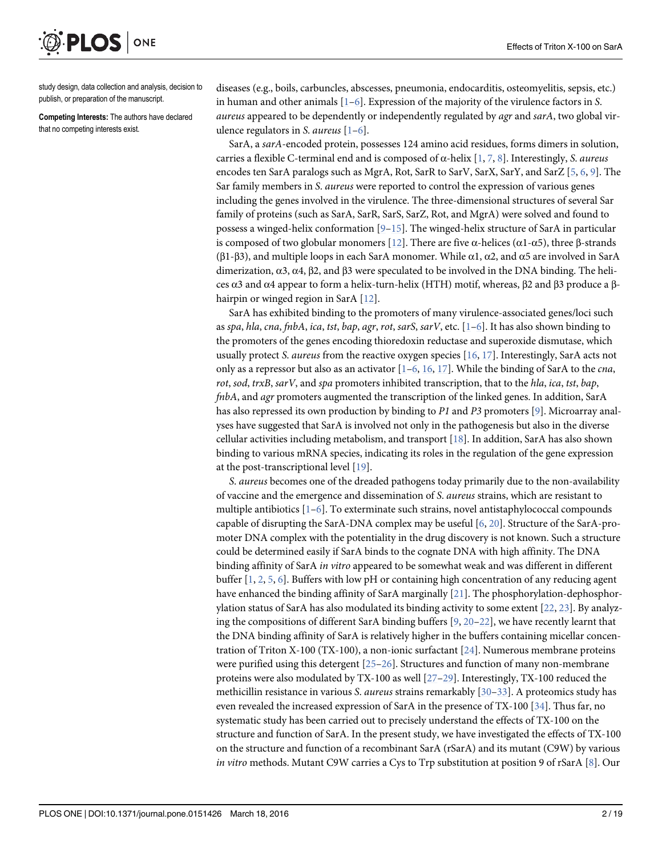

study design, data collection and analysis, decision to publish, or preparation of the manuscript.

Competing Interests: The authors have declared that no competing interests exist.

diseases (e.g., boils, carbuncles, abscesses, pneumonia, endocarditis, osteomyelitis, sepsis, etc.) in human and other animals  $[1-6]$ . Expression of the majority of the virulence factors in S. aureus appeared to be dependently or independently regulated by *agr* and sarA, two global virulence regulators in *S. aureus*  $[1-6]$ .

SarA, a sarA-encoded protein, possesses 124 amino acid residues, forms dimers in solution, carries a flexible C-terminal end and is composed of  $\alpha$ -helix [1, 7, 8]. Interestingly, *S. aureus* encodes ten SarA paralogs such as MgrA, Rot, SarR to SarV, SarX, SarY, and SarZ [5, 6, 9]. The Sar family members in S. aureus were reported to control the expression of various genes including the genes involved in the virulence. The three-dimensional structures of several Sar family of proteins (such as SarA, SarR, SarS, SarZ, Rot, and MgrA) were solved and found to possess a winged-helix conformation  $[9-15]$ . The winged-helix structure of SarA in particular is composed of two globular monomers [12]. There are five α-helices (α1-α5), three β-strands (β1-β3), and multiple loops in each SarA monomer. While  $\alpha$ 1,  $\alpha$ 2, and  $\alpha$ 5 are involved in SarA dimerization, α3, α4, β2, and β3 were speculated to be involved in the DNA binding. The helices α3 and α4 appear to form a helix-turn-helix (HTH) motif, whereas, β2 and β3 produce a βhairpin or winged region in SarA [12].

SarA has exhibited binding to the promoters of many virulence-associated genes/loci such as spa, hla, cna, fnbA, ica, tst, bap, agr, rot, sarS, sarV, etc.  $[1-6]$ . It has also shown binding to the promoters of the genes encoding thioredoxin reductase and superoxide dismutase, which usually protect S. *aureus* from the reactive oxygen species  $[16, 17]$ . Interestingly, SarA acts not only as a repressor but also as an activator  $[1-6, 16, 17]$ . While the binding of SarA to the *cna*, rot, sod, trxB, sarV, and spa promoters inhibited transcription, that to the hla, ica, tst, bap, fnbA, and agr promoters augmented the transcription of the linked genes. In addition, SarA has also repressed its own production by binding to P1 and P3 promoters  $[9]$ . Microarray analyses have suggested that SarA is involved not only in the pathogenesis but also in the diverse cellular activities including metabolism, and transport [18]. In addition, SarA has also shown binding to various mRNA species, indicating its roles in the regulation of the gene expression at the post-transcriptional level [19].

S. aureus becomes one of the dreaded pathogens today primarily due to the non-availability of vaccine and the emergence and dissemination of S. aureus strains, which are resistant to multiple antibiotics  $[1-6]$ . To exterminate such strains, novel antistaphylococcal compounds capable of disrupting the SarA-DNA complex may be useful  $[6, 20]$ . Structure of the SarA-promoter DNA complex with the potentiality in the drug discovery is not known. Such a structure could be determined easily if SarA binds to the cognate DNA with high affinity. The DNA binding affinity of SarA in vitro appeared to be somewhat weak and was different in different buffer  $[1, 2, 5, 6]$ . Buffers with low pH or containing high concentration of any reducing agent have enhanced the binding affinity of SarA marginally [21]. The phosphorylation-dephosphorylation status of SarA has also modulated its binding activity to some extent [22, 23]. By analyzing the compositions of different SarA binding buffers  $[9, 20-22]$ , we have recently learnt that the DNA binding affinity of SarA is relatively higher in the buffers containing micellar concentration of Triton X-100 (TX-100), a non-ionic surfactant [24]. Numerous membrane proteins were purified using this detergent  $[25-26]$ . Structures and function of many non-membrane proteins were also modulated by TX-100 as well [27–29]. Interestingly, TX-100 reduced the methicillin resistance in various *S. aureus* strains remarkably [30–33]. A proteomics study has even revealed the increased expression of SarA in the presence of TX-100 [34]. Thus far, no systematic study has been carried out to precisely understand the effects of TX-100 on the structure and function of SarA. In the present study, we have investigated the effects of TX-100 on the structure and function of a recombinant SarA (rSarA) and its mutant (C9W) by various in vitro methods. Mutant C9W carries a Cys to Trp substitution at position 9 of rSarA  $[8]$ . Our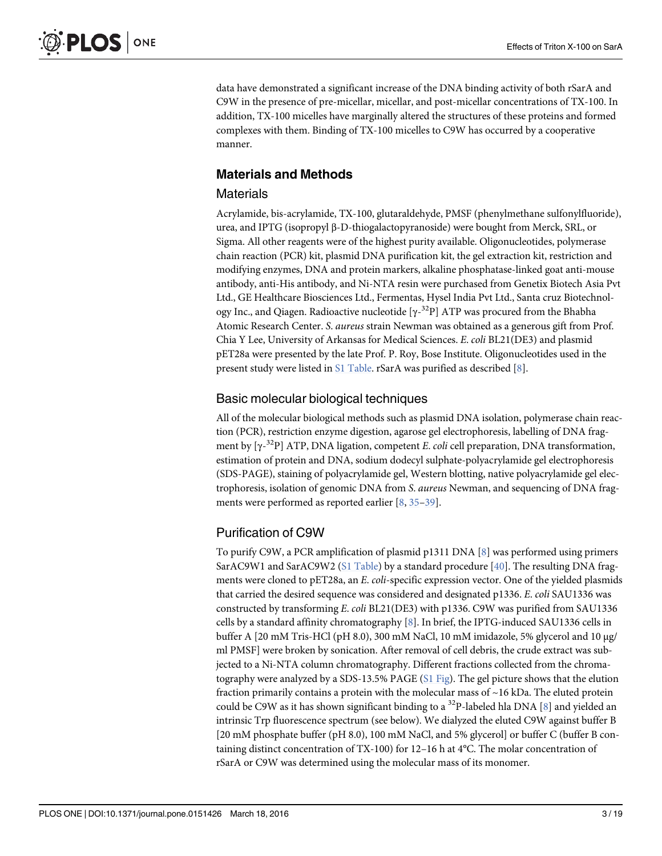data have demonstrated a significant increase of the DNA binding activity of both rSarA and C9W in the presence of pre-micellar, micellar, and post-micellar concentrations of TX-100. In addition, TX-100 micelles have marginally altered the structures of these proteins and formed complexes with them. Binding of TX-100 micelles to C9W has occurred by a cooperative manner.

# Materials and Methods

## Materials

Acrylamide, bis-acrylamide, TX-100, glutaraldehyde, PMSF (phenylmethane sulfonylfluoride), urea, and IPTG (isopropyl β-D-thiogalactopyranoside) were bought from Merck, SRL, or Sigma. All other reagents were of the highest purity available. Oligonucleotides, polymerase chain reaction (PCR) kit, plasmid DNA purification kit, the gel extraction kit, restriction and modifying enzymes, DNA and protein markers, alkaline phosphatase-linked goat anti-mouse antibody, anti-His antibody, and Ni-NTA resin were purchased from Genetix Biotech Asia Pvt Ltd., GE Healthcare Biosciences Ltd., Fermentas, Hysel India Pvt Ltd., Santa cruz Biotechnology Inc., and Qiagen. Radioactive nucleotide  $[\gamma^{-32}P]$  ATP was procured from the Bhabha Atomic Research Center. S. aureus strain Newman was obtained as a generous gift from Prof. Chia Y Lee, University of Arkansas for Medical Sciences. E. coli BL21(DE3) and plasmid pET28a were presented by the late Prof. P. Roy, Bose Institute. Oligonucleotides used in the present study were listed in S1 Table. rSarA was purified as described [8].

# Basic molecular biological techniques

All of the molecular biological methods such as plasmid DNA isolation, polymerase chain reaction (PCR), restriction enzyme digestion, agarose gel electrophoresis, labelling of DNA fragment by  $[\gamma^{-32}P]$  ATP, DNA ligation, competent *E. coli* cell preparation, DNA transformation, estimation of protein and DNA, sodium dodecyl sulphate-polyacrylamide gel electrophoresis (SDS-PAGE), staining of polyacrylamide gel, Western blotting, native polyacrylamide gel electrophoresis, isolation of genomic DNA from S. aureus Newman, and sequencing of DNA fragments were performed as reported earlier [8, 35–39].

# Purification of C9W

To purify C9W, a PCR amplification of plasmid p1311 DNA [8] was performed using primers SarAC9W1 and SarAC9W2 (S1 Table) by a standard procedure [40]. The resulting DNA fragments were cloned to pET28a, an E. coli-specific expression vector. One of the yielded plasmids that carried the desired sequence was considered and designated p1336. E. coli SAU1336 was constructed by transforming E. coli BL21(DE3) with p1336. C9W was purified from SAU1336 cells by a standard affinity chromatography [8]. In brief, the IPTG-induced SAU1336 cells in buffer A [20 mM Tris-HCl (pH 8.0), 300 mM NaCl, 10 mM imidazole, 5% glycerol and 10 μg/ ml PMSF] were broken by sonication. After removal of cell debris, the crude extract was subjected to a Ni-NTA column chromatography. Different fractions collected from the chromatography were analyzed by a SDS-13.5% PAGE (S1 Fig). The gel picture shows that the elution fraction primarily contains a protein with the molecular mass of  $\sim$  16 kDa. The eluted protein could be C9W as it has shown significant binding to a <sup>32</sup>P-labeled hla DNA [8] and yielded an intrinsic Trp fluorescence spectrum (see below). We dialyzed the eluted C9W against buffer B [20 mM phosphate buffer (pH 8.0), 100 mM NaCl, and 5% glycerol] or buffer C (buffer B containing distinct concentration of TX-100) for 12–16 h at 4°C. The molar concentration of rSarA or C9W was determined using the molecular mass of its monomer.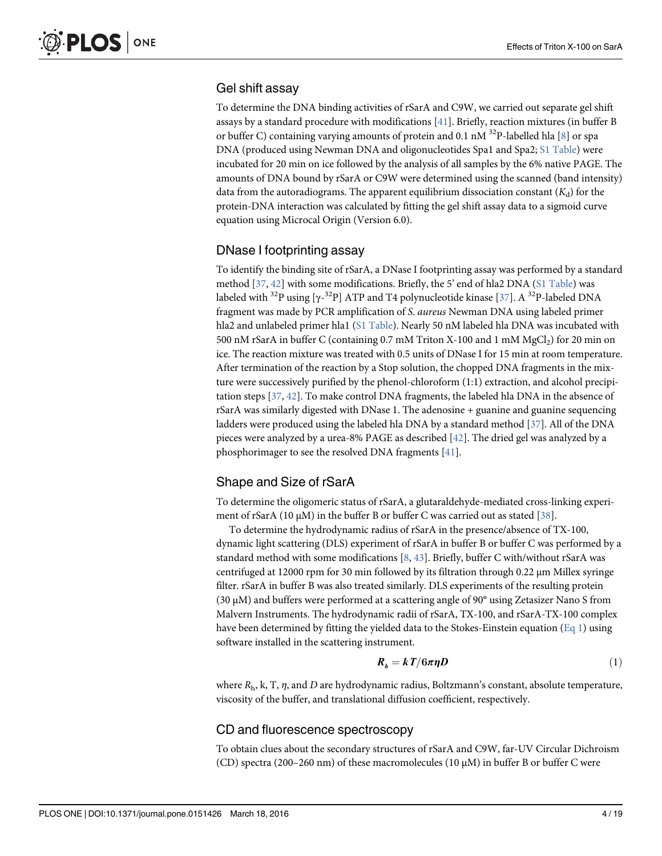# Gel shift assay

To determine the DNA binding activities of rSarA and C9W, we carried out separate gel shift assays by a standard procedure with modifications [41]. Briefly, reaction mixtures (in buffer B or buffer C) containing varying amounts of protein and 0.1 nM  $^{32}$ P-labelled hla [8] or spa DNA (produced using Newman DNA and oligonucleotides Spa1 and Spa2; S1 Table) were incubated for 20 min on ice followed by the analysis of all samples by the 6% native PAGE. The amounts of DNA bound by rSarA or C9W were determined using the scanned (band intensity) data from the autoradiograms. The apparent equilibrium dissociation constant  $(K_d)$  for the protein-DNA interaction was calculated by fitting the gel shift assay data to a sigmoid curve equation using Microcal Origin (Version 6.0).

## DNase I footprinting assay

To identify the binding site of rSarA, a DNase I footprinting assay was performed by a standard method  $[37, 42]$  with some modifications. Briefly, the 5' end of hla2 DNA  $(S1$  Table) was labeled with  $^{32}$ P using [ $\gamma$ - $^{32}$ P] ATP and T4 polynucleotide kinase [37]. A  $^{32}$ P-labeled DNA fragment was made by PCR amplification of S. aureus Newman DNA using labeled primer hla2 and unlabeled primer hla1 (S1 Table). Nearly 50 nM labeled hla DNA was incubated with 500 nM rSarA in buffer C (containing 0.7 mM Triton X-100 and 1 mM MgCl<sub>2</sub>) for 20 min on ice. The reaction mixture was treated with 0.5 units of DNase I for 15 min at room temperature. After termination of the reaction by a Stop solution, the chopped DNA fragments in the mixture were successively purified by the phenol-chloroform (1:1) extraction, and alcohol precipitation steps [37, 42]. To make control DNA fragments, the labeled hla DNA in the absence of rSarA was similarly digested with DNase 1. The adenosine + guanine and guanine sequencing ladders were produced using the labeled hla DNA by a standard method [37]. All of the DNA pieces were analyzed by a urea-8% PAGE as described [42]. The dried gel was analyzed by a phosphorimager to see the resolved DNA fragments [41].

# Shape and Size of rSarA

To determine the oligomeric status of rSarA, a glutaraldehyde-mediated cross-linking experiment of rSarA (10  $\mu$ M) in the buffer B or buffer C was carried out as stated [38].

To determine the hydrodynamic radius of rSarA in the presence/absence of TX-100, dynamic light scattering (DLS) experiment of rSarA in buffer B or buffer C was performed by a standard method with some modifications  $[8, 43]$ . Briefly, buffer C with/without rSarA was centrifuged at 12000 rpm for 30 min followed by its filtration through 0.22 μm Millex syringe filter. rSarA in buffer B was also treated similarly. DLS experiments of the resulting protein (30 μM) and buffers were performed at a scattering angle of 90° using Zetasizer Nano S from Malvern Instruments. The hydrodynamic radii of rSarA, TX-100, and rSarA-TX-100 complex have been determined by fitting the yielded data to the Stokes-Einstein equation (Eq 1) using software installed in the scattering instrument.

$$
R_h = kT/6\pi\eta D \tag{1}
$$

where  $R_h$ , k, T,  $\eta$ , and D are hydrodynamic radius, Boltzmann's constant, absolute temperature, viscosity of the buffer, and translational diffusion coefficient, respectively.

#### CD and fluorescence spectroscopy

To obtain clues about the secondary structures of rSarA and C9W, far-UV Circular Dichroism (CD) spectra (200–260 nm) of these macromolecules (10  $\mu$ M) in buffer B or buffer C were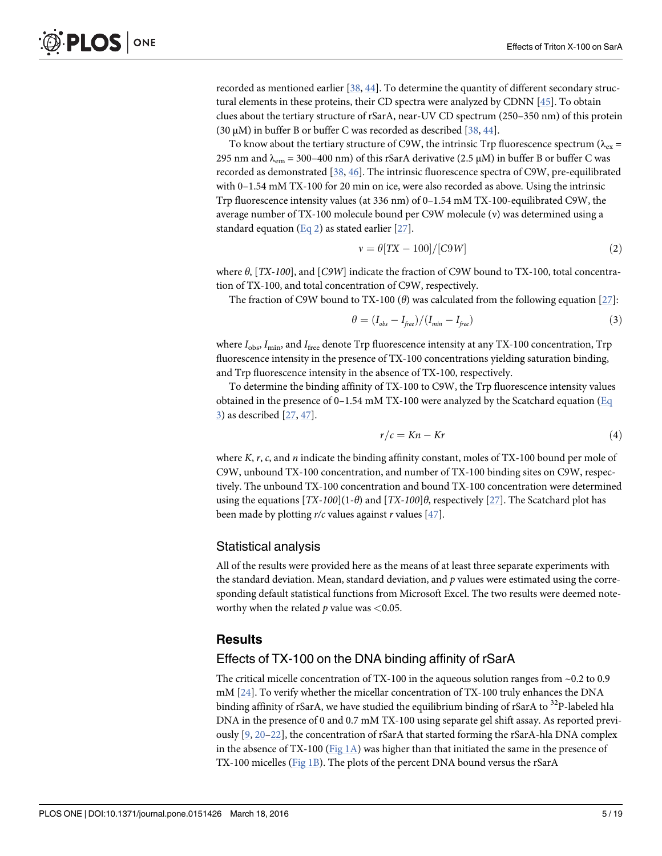recorded as mentioned earlier [38, 44]. To determine the quantity of different secondary structural elements in these proteins, their CD spectra were analyzed by CDNN [45]. To obtain clues about the tertiary structure of rSarA, near-UV CD spectrum (250–350 nm) of this protein (30  $\mu$ M) in buffer B or buffer C was recorded as described [38, 44].

To know about the tertiary structure of C9W, the intrinsic Trp fluorescence spectrum ( $\lambda_{\rm ex}$  = 295 nm and  $\lambda_{\rm em}$  = 300–400 nm) of this rSarA derivative (2.5 µM) in buffer B or buffer C was recorded as demonstrated [38, 46]. The intrinsic fluorescence spectra of C9W, pre-equilibrated with 0–1.54 mM TX-100 for 20 min on ice, were also recorded as above. Using the intrinsic Trp fluorescence intensity values (at 336 nm) of 0–1.54 mM TX-100-equilibrated C9W, the average number of TX-100 molecule bound per C9W molecule (ν) was determined using a standard equation (Eq 2) as stated earlier [27].

$$
v = \theta [TX - 100]/[C9W]
$$
 (2)

where  $\theta$ , [TX-100], and [C9W] indicate the fraction of C9W bound to TX-100, total concentration of TX-100, and total concentration of C9W, respectively.

The fraction of C9W bound to TX-100 ( $\theta$ ) was calculated from the following equation [27]:

$$
\theta = (I_{obs} - I_{free})/(I_{min} - I_{free})
$$
\n(3)

where  $I_{\text{obs}}$ ,  $I_{\text{min}}$ , and  $I_{\text{free}}$  denote Trp fluorescence intensity at any TX-100 concentration, Trp fluorescence intensity in the presence of TX-100 concentrations yielding saturation binding, and Trp fluorescence intensity in the absence of TX-100, respectively.

To determine the binding affinity of TX-100 to C9W, the Trp fluorescence intensity values obtained in the presence of  $0-1.54$  mM TX-100 were analyzed by the Scatchard equation (Eq. 3) as described [27, 47].

$$
r/c = Kn - Kr \tag{4}
$$

where  $K$ ,  $r$ ,  $c$ , and  $n$  indicate the binding affinity constant, moles of TX-100 bound per mole of C9W, unbound TX-100 concentration, and number of TX-100 binding sites on C9W, respectively. The unbound TX-100 concentration and bound TX-100 concentration were determined using the equations  $[TX-100](1-\theta)$  and  $[TX-100]\theta$ , respectively  $[27]$ . The Scatchard plot has been made by plotting  $r/c$  values against r values [ $\frac{47}{2}$ ].

#### Statistical analysis

All of the results were provided here as the means of at least three separate experiments with the standard deviation. Mean, standard deviation, and  $p$  values were estimated using the corresponding default statistical functions from Microsoft Excel. The two results were deemed noteworthy when the related  $p$  value was <0.05.

#### **Results**

#### Effects of TX-100 on the DNA binding affinity of rSarA

The critical micelle concentration of TX-100 in the aqueous solution ranges from ~0.2 to 0.9 mM [24]. To verify whether the micellar concentration of TX-100 truly enhances the DNA binding affinity of rSarA, we have studied the equilibrium binding of rSarA to <sup>32</sup>P-labeled hla DNA in the presence of 0 and 0.7 mM TX-100 using separate gel shift assay. As reported previously  $[9, 20-22]$ , the concentration of rSarA that started forming the rSarA-hla DNA complex in the absence of TX-100 ( $Fig 1A$ ) was higher than that initiated the same in the presence of TX-100 micelles (Fig 1B). The plots of the percent DNA bound versus the rSarA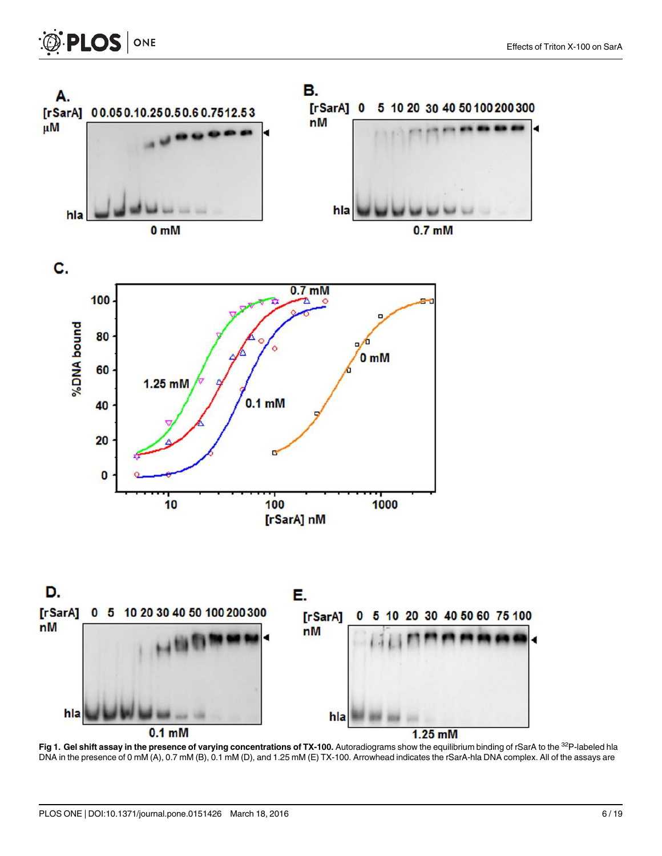

Fig 1. Gel shift assay in the presence of varying concentrations of TX-100. Autoradiograms show the equilibrium binding of rSarA to the <sup>32</sup>P-labeled hla DNA in the presence of 0 mM (A), 0.7 mM (B), 0.1 mM (D), and 1.25 mM (E) TX-100. Arrowhead indicates the rSarA-hla DNA complex. All of the assays are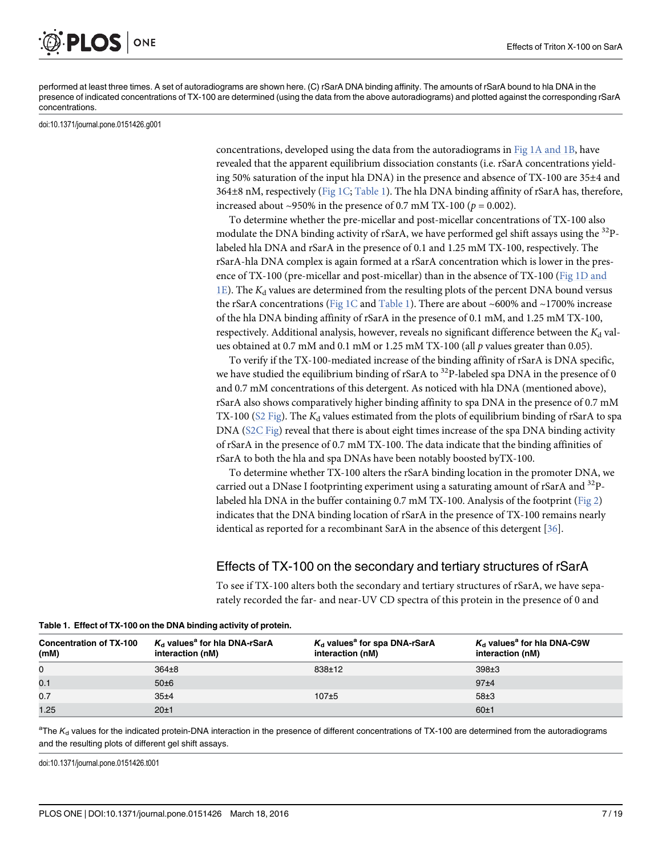ONE **PLOS I** 

performed at least three times. A set of autoradiograms are shown here. (C) rSarA DNA binding affinity. The amounts of rSarA bound to hla DNA in the presence of indicated concentrations of TX-100 are determined (using the data from the above autoradiograms) and plotted against the corresponding rSarA concentrations.

doi:10.1371/journal.pone.0151426.g001

concentrations, developed using the data from the autoradiograms in Fig  $1A$  and  $1B$ , have revealed that the apparent equilibrium dissociation constants (i.e. rSarA concentrations yielding 50% saturation of the input hla DNA) in the presence and absence of TX-100 are 35±4 and 364±8 nM, respectively (Fig 1C; Table 1). The hla DNA binding affinity of rSarA has, therefore, increased about ~950% in the presence of 0.7 mM TX-100 ( $p = 0.002$ ).

To determine whether the pre-micellar and post-micellar concentrations of TX-100 also modulate the DNA binding activity of rSarA, we have performed gel shift assays using the  $^{32}P$ labeled hla DNA and rSarA in the presence of 0.1 and 1.25 mM TX-100, respectively. The rSarA-hla DNA complex is again formed at a rSarA concentration which is lower in the presence of TX-100 (pre-micellar and post-micellar) than in the absence of TX-100 (Fig 1D and  $1E$ ). The  $K_d$  values are determined from the resulting plots of the percent DNA bound versus the rSarA concentrations (Fig 1C and Table 1). There are about ~600% and ~1700% increase of the hla DNA binding affinity of rSarA in the presence of 0.1 mM, and 1.25 mM TX-100, respectively. Additional analysis, however, reveals no significant difference between the  $K_d$  values obtained at 0.7 mM and 0.1 mM or 1.25 mM TX-100 (all  $p$  values greater than 0.05).

To verify if the TX-100-mediated increase of the binding affinity of rSarA is DNA specific, we have studied the equilibrium binding of rSarA to  $32P$ -labeled spa DNA in the presence of 0 and 0.7 mM concentrations of this detergent. As noticed with hla DNA (mentioned above), rSarA also shows comparatively higher binding affinity to spa DNA in the presence of 0.7 mM TX-100 ( $S2$  Fig). The  $K_d$  values estimated from the plots of equilibrium binding of rSarA to spa DNA (S2C Fig) reveal that there is about eight times increase of the spa DNA binding activity of rSarA in the presence of 0.7 mM TX-100. The data indicate that the binding affinities of rSarA to both the hla and spa DNAs have been notably boosted byTX-100.

To determine whether TX-100 alters the rSarA binding location in the promoter DNA, we carried out a DNase I footprinting experiment using a saturating amount of rSarA and <sup>32</sup>Plabeled hla DNA in the buffer containing 0.7 mM TX-100. Analysis of the footprint (Fig 2) indicates that the DNA binding location of rSarA in the presence of TX-100 remains nearly identical as reported for a recombinant SarA in the absence of this detergent [36].

#### Effects of TX-100 on the secondary and tertiary structures of rSarA

To see if TX-100 alters both the secondary and tertiary structures of rSarA, we have separately recorded the far- and near-UV CD spectra of this protein in the presence of 0 and

| <b>Concentration of TX-100</b><br>(mM) | $K_d$ values <sup>a</sup> for hia DNA-rSarA<br>interaction (nM) | $K_d$ values <sup>a</sup> for spa DNA-rSarA<br>interaction (nM) | $K_d$ values <sup>a</sup> for hia DNA-C9W<br>interaction (nM) |
|----------------------------------------|-----------------------------------------------------------------|-----------------------------------------------------------------|---------------------------------------------------------------|
| 0                                      | $364\pm8$                                                       | $838+12$                                                        | 398±3                                                         |
| 0.1                                    | $50\pm6$                                                        |                                                                 | 97 <sub>±4</sub>                                              |
| 0.7                                    | 35±4                                                            | $107 + 5$                                                       | 58±3                                                          |
| 1.25                                   | 20±1                                                            |                                                                 | 60±1                                                          |

Table 1. Effect of TX-100 on the DNA binding activity of protein.

<sup>a</sup>The  $K_d$  values for the indicated protein-DNA interaction in the presence of different concentrations of TX-100 are determined from the autoradiograms and the resulting plots of different gel shift assays.

doi:10.1371/journal.pone.0151426.t001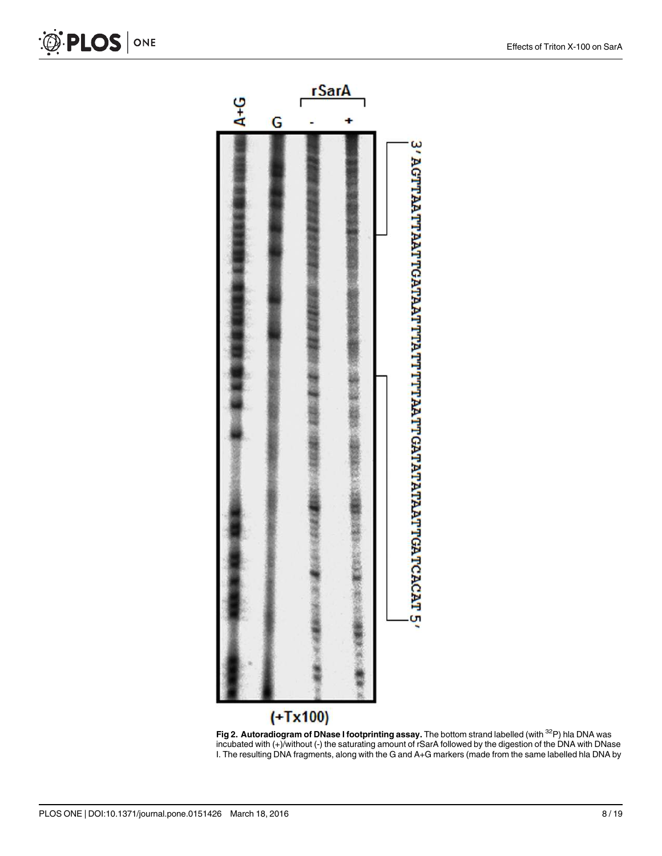



O PLOS ONE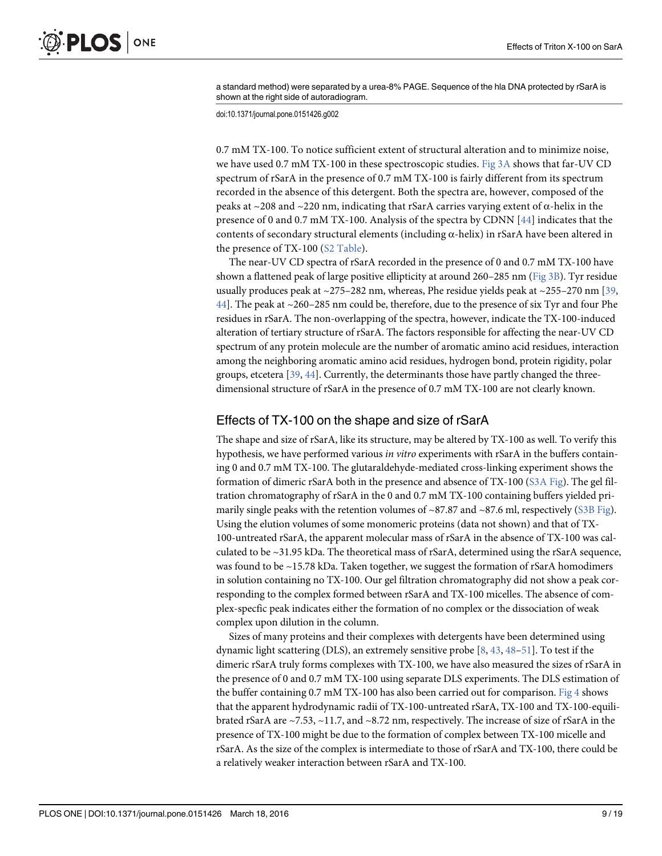a standard method) were separated by a urea-8% PAGE. Sequence of the hla DNA protected by rSarA is shown at the right side of autoradiogram.

doi:10.1371/journal.pone.0151426.g002

0.7 mM TX-100. To notice sufficient extent of structural alteration and to minimize noise, we have used 0.7 mM TX-100 in these spectroscopic studies. Fig  $3A$  shows that far-UV CD spectrum of rSarA in the presence of 0.7 mM TX-100 is fairly different from its spectrum recorded in the absence of this detergent. Both the spectra are, however, composed of the peaks at ~208 and ~220 nm, indicating that rSarA carries varying extent of α-helix in the presence of 0 and 0.7 mM TX-100. Analysis of the spectra by CDNN [44] indicates that the contents of secondary structural elements (including  $\alpha$ -helix) in rSarA have been altered in the presence of TX-100 (S2 Table).

The near-UV CD spectra of rSarA recorded in the presence of 0 and 0.7 mM TX-100 have shown a flattened peak of large positive ellipticity at around 260–285 nm (Fig 3B). Tyr residue usually produces peak at  $\sim$ 275–282 nm, whereas, Phe residue yields peak at  $\sim$ 255–270 nm [39, 44]. The peak at ~260–285 nm could be, therefore, due to the presence of six Tyr and four Phe residues in rSarA. The non-overlapping of the spectra, however, indicate the TX-100-induced alteration of tertiary structure of rSarA. The factors responsible for affecting the near-UV CD spectrum of any protein molecule are the number of aromatic amino acid residues, interaction among the neighboring aromatic amino acid residues, hydrogen bond, protein rigidity, polar groups, etcetera [39, 44]. Currently, the determinants those have partly changed the threedimensional structure of rSarA in the presence of 0.7 mM TX-100 are not clearly known.

#### Effects of TX-100 on the shape and size of rSarA

The shape and size of rSarA, like its structure, may be altered by TX-100 as well. To verify this hypothesis, we have performed various in vitro experiments with rSarA in the buffers containing 0 and 0.7 mM TX-100. The glutaraldehyde-mediated cross-linking experiment shows the formation of dimeric rSarA both in the presence and absence of TX-100 (S3A Fig). The gel filtration chromatography of rSarA in the 0 and 0.7 mM TX-100 containing buffers yielded primarily single peaks with the retention volumes of  $\sim$ 87.87 and  $\sim$ 87.6 ml, respectively (S3B Fig). Using the elution volumes of some monomeric proteins (data not shown) and that of TX-100-untreated rSarA, the apparent molecular mass of rSarA in the absence of TX-100 was calculated to be ~31.95 kDa. The theoretical mass of rSarA, determined using the rSarA sequence, was found to be ~15.78 kDa. Taken together, we suggest the formation of rSarA homodimers in solution containing no TX-100. Our gel filtration chromatography did not show a peak corresponding to the complex formed between rSarA and TX-100 micelles. The absence of complex-specfic peak indicates either the formation of no complex or the dissociation of weak complex upon dilution in the column.

Sizes of many proteins and their complexes with detergents have been determined using dynamic light scattering (DLS), an extremely sensitive probe [8, 43, 48–51]. To test if the dimeric rSarA truly forms complexes with TX-100, we have also measured the sizes of rSarA in the presence of 0 and 0.7 mM TX-100 using separate DLS experiments. The DLS estimation of the buffer containing 0.7 mM TX-100 has also been carried out for comparison. Fig 4 shows that the apparent hydrodynamic radii of TX-100-untreated rSarA, TX-100 and TX-100-equilibrated rSarA are  $\sim$ 7.53,  $\sim$ 11.7, and  $\sim$ 8.72 nm, respectively. The increase of size of rSarA in the presence of TX-100 might be due to the formation of complex between TX-100 micelle and rSarA. As the size of the complex is intermediate to those of rSarA and TX-100, there could be a relatively weaker interaction between rSarA and TX-100.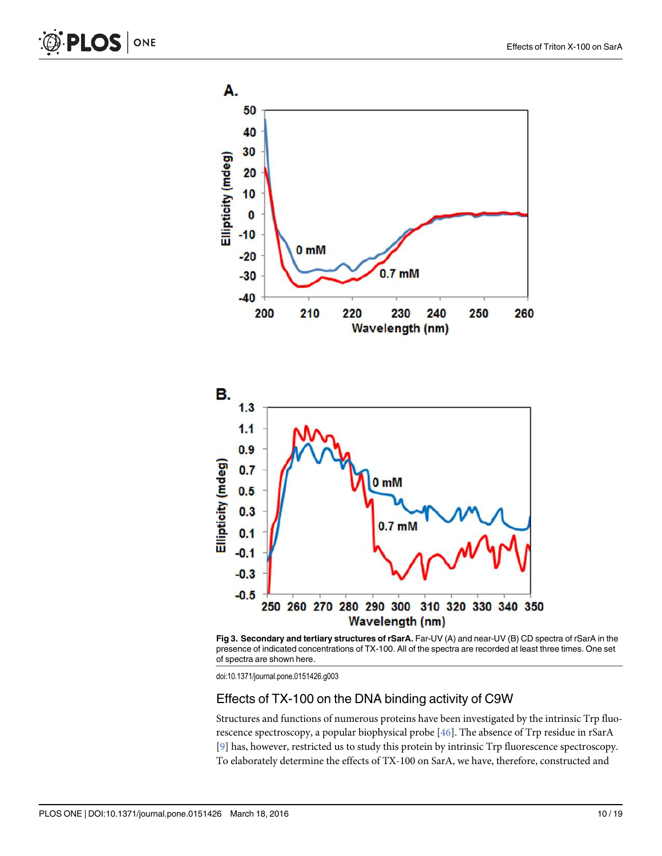



Fig 3. Secondary and tertiary structures of rSarA. Far-UV (A) and near-UV (B) CD spectra of rSarA in the presence of indicated concentrations of TX-100. All of the spectra are recorded at least three times. One set of spectra are shown here.

#### Effects of TX-100 on the DNA binding activity of C9W

Structures and functions of numerous proteins have been investigated by the intrinsic Trp fluorescence spectroscopy, a popular biophysical probe [46]. The absence of Trp residue in rSarA [9] has, however, restricted us to study this protein by intrinsic Trp fluorescence spectroscopy. To elaborately determine the effects of TX-100 on SarA, we have, therefore, constructed and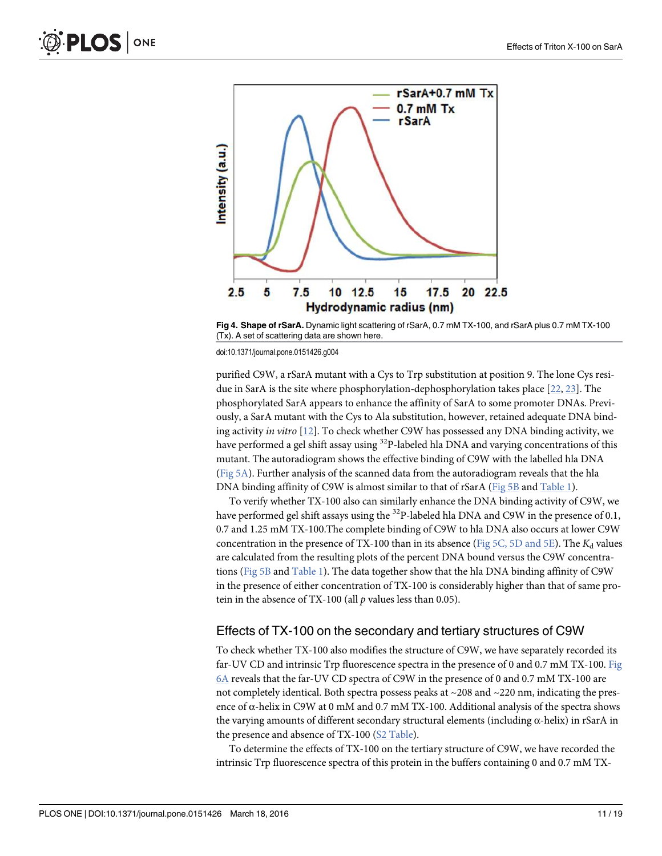

Fig 4. Shape of rSarA. Dynamic light scattering of rSarA, 0.7 mM TX-100, and rSarA plus 0.7 mM TX-100 (Tx). A set of scattering data are shown here.

purified C9W, a rSarA mutant with a Cys to Trp substitution at position 9. The lone Cys residue in SarA is the site where phosphorylation-dephosphorylation takes place [22, 23]. The phosphorylated SarA appears to enhance the affinity of SarA to some promoter DNAs. Previously, a SarA mutant with the Cys to Ala substitution, however, retained adequate DNA binding activity in vitro [12]. To check whether C9W has possessed any DNA binding activity, we have performed a gel shift assay using <sup>32</sup>P-labeled hla DNA and varying concentrations of this mutant. The autoradiogram shows the effective binding of C9W with the labelled hla DNA (Fig 5A). Further analysis of the scanned data from the autoradiogram reveals that the hla DNA binding affinity of C9W is almost similar to that of rSarA (Fig 5B and Table 1).

To verify whether TX-100 also can similarly enhance the DNA binding activity of C9W, we have performed gel shift assays using the <sup>32</sup>P-labeled hla DNA and C9W in the presence of 0.1, 0.7 and 1.25 mM TX-100.The complete binding of C9W to hla DNA also occurs at lower C9W concentration in the presence of TX-100 than in its absence (Fig 5C, 5D and 5E). The  $K_d$  values are calculated from the resulting plots of the percent DNA bound versus the C9W concentrations (Fig 5B and Table 1). The data together show that the hla DNA binding affinity of C9W in the presence of either concentration of TX-100 is considerably higher than that of same protein in the absence of TX-100 (all  $p$  values less than 0.05).

#### Effects of TX-100 on the secondary and tertiary structures of C9W

To check whether TX-100 also modifies the structure of C9W, we have separately recorded its far-UV CD and intrinsic Trp fluorescence spectra in the presence of 0 and 0.7 mM TX-100. Fig 6A reveals that the far-UV CD spectra of C9W in the presence of 0 and 0.7 mM TX-100 are not completely identical. Both spectra possess peaks at  $\sim$ 208 and  $\sim$ 220 nm, indicating the presence of  $\alpha$ -helix in C9W at 0 mM and 0.7 mM TX-100. Additional analysis of the spectra shows the varying amounts of different secondary structural elements (including α-helix) in rSarA in the presence and absence of TX-100 (S2 Table).

To determine the effects of TX-100 on the tertiary structure of C9W, we have recorded the intrinsic Trp fluorescence spectra of this protein in the buffers containing 0 and 0.7 mM TX-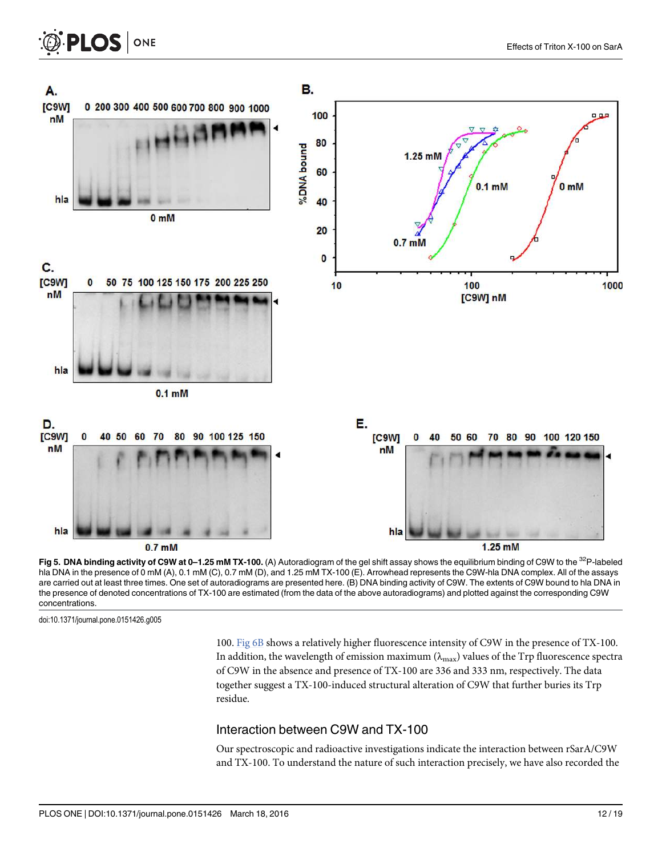

Fig 5. DNA binding activity of C9W at 0-1.25 mM TX-100. (A) Autoradiogram of the gel shift assay shows the equilibrium binding of C9W to the  $^{32}P$ -labeled hla DNA in the presence of 0 mM (A), 0.1 mM (C), 0.7 mM (D), and 1.25 mM TX-100 (E). Arrowhead represents the C9W-hla DNA complex. All of the assays are carried out at least three times. One set of autoradiograms are presented here. (B) DNA binding activity of C9W. The extents of C9W bound to hla DNA in the presence of denoted concentrations of TX-100 are estimated (from the data of the above autoradiograms) and plotted against the corresponding C9W concentrations.

100. Fig 6B shows a relatively higher fluorescence intensity of C9W in the presence of TX-100. In addition, the wavelength of emission maximum ( $\lambda_{\text{max}}$ ) values of the Trp fluorescence spectra of C9W in the absence and presence of TX-100 are 336 and 333 nm, respectively. The data together suggest a TX-100-induced structural alteration of C9W that further buries its Trp residue.

#### Interaction between C9W and TX-100

Our spectroscopic and radioactive investigations indicate the interaction between rSarA/C9W and TX-100. To understand the nature of such interaction precisely, we have also recorded the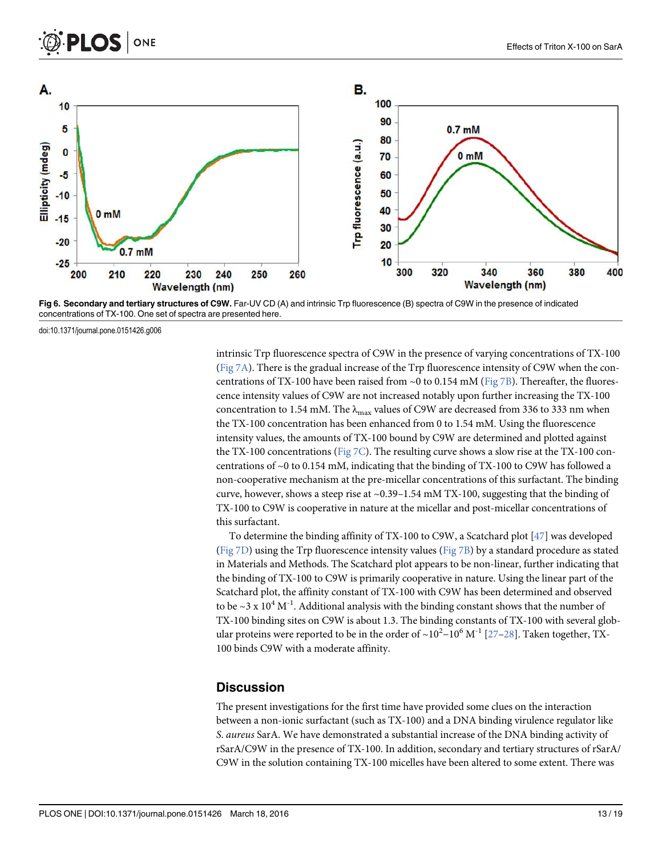

Fig 6. Secondary and tertiary structures of C9W. Far-UV CD (A) and intrinsic Trp fluorescence (B) spectra of C9W in the presence of indicated concentrations of TX-100. One set of spectra are presented here.

intrinsic Trp fluorescence spectra of C9W in the presence of varying concentrations of TX-100 (Fig  $7A$ ). There is the gradual increase of the Trp fluorescence intensity of C9W when the concentrations of TX-100 have been raised from  $\sim$ 0 to 0.154 mM (Fig 7B). Thereafter, the fluorescence intensity values of C9W are not increased notably upon further increasing the TX-100 concentration to 1.54 mM. The  $\lambda_{\text{max}}$  values of C9W are decreased from 336 to 333 nm when the TX-100 concentration has been enhanced from 0 to 1.54 mM. Using the fluorescence intensity values, the amounts of TX-100 bound by C9W are determined and plotted against the TX-100 concentrations ( $Fig 7C$ ). The resulting curve shows a slow rise at the TX-100 concentrations of ~0 to 0.154 mM, indicating that the binding of TX-100 to C9W has followed a non-cooperative mechanism at the pre-micellar concentrations of this surfactant. The binding curve, however, shows a steep rise at ~0.39–1.54 mM TX-100, suggesting that the binding of TX-100 to C9W is cooperative in nature at the micellar and post-micellar concentrations of this surfactant.

To determine the binding affinity of TX-100 to C9W, a Scatchard plot [47] was developed (Fig 7D) using the Trp fluorescence intensity values (Fig 7B) by a standard procedure as stated in Materials and Methods. The Scatchard plot appears to be non-linear, further indicating that the binding of TX-100 to C9W is primarily cooperative in nature. Using the linear part of the Scatchard plot, the affinity constant of TX-100 with C9W has been determined and observed to be ~3 x  $10^4$  M<sup>-1</sup>. Additional analysis with the binding constant shows that the number of TX-100 binding sites on C9W is about 1.3. The binding constants of TX-100 with several globular proteins were reported to be in the order of ~10<sup>2</sup>–10<sup>6</sup> M<sup>-1</sup> [27–28]. Taken together, TX-100 binds C9W with a moderate affinity.

#### **Discussion**

The present investigations for the first time have provided some clues on the interaction between a non-ionic surfactant (such as TX-100) and a DNA binding virulence regulator like S. aureus SarA. We have demonstrated a substantial increase of the DNA binding activity of rSarA/C9W in the presence of TX-100. In addition, secondary and tertiary structures of rSarA/ C9W in the solution containing TX-100 micelles have been altered to some extent. There was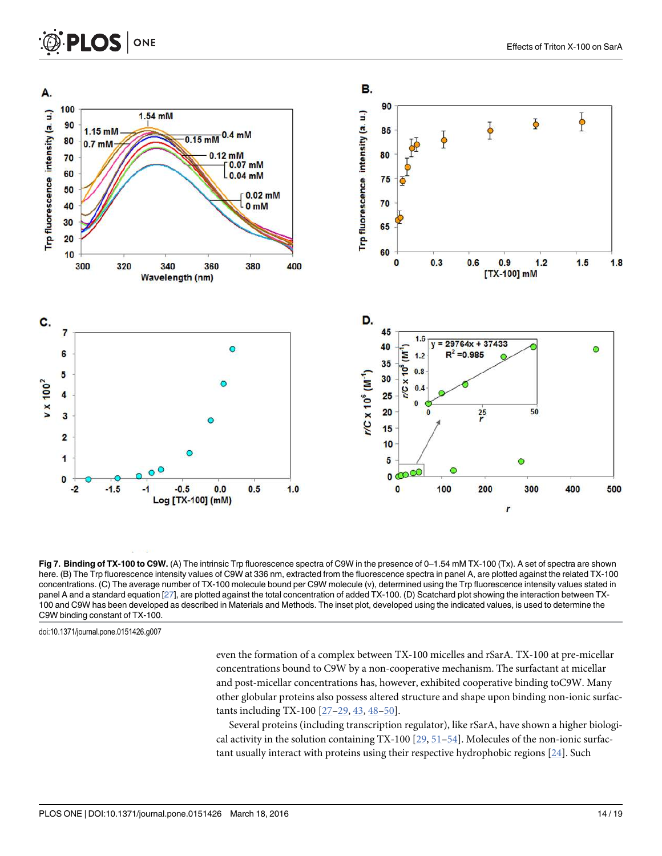

Fig 7. Binding of TX-100 to C9W. (A) The intrinsic Trp fluorescence spectra of C9W in the presence of 0–1.54 mM TX-100 (Tx). A set of spectra are shown here. (B) The Trp fluorescence intensity values of C9W at 336 nm, extracted from the fluorescence spectra in panel A, are plotted against the related TX-100 concentrations. (C) The average number of TX-100 molecule bound per C9W molecule (ν), determined using the Trp fluorescence intensity values stated in panel A and a standard equation [27], are plotted against the total concentration of added TX-100. (D) Scatchard plot showing the interaction between TX-100 and C9W has been developed as described in Materials and Methods. The inset plot, developed using the indicated values, is used to determine the C9W binding constant of TX-100.

even the formation of a complex between TX-100 micelles and rSarA. TX-100 at pre-micellar concentrations bound to C9W by a non-cooperative mechanism. The surfactant at micellar and post-micellar concentrations has, however, exhibited cooperative binding toC9W. Many other globular proteins also possess altered structure and shape upon binding non-ionic surfactants including TX-100 [27–29, 43, 48–50].

Several proteins (including transcription regulator), like rSarA, have shown a higher biological activity in the solution containing  $TX-100$  [29, 51–54]. Molecules of the non-ionic surfactant usually interact with proteins using their respective hydrophobic regions [24]. Such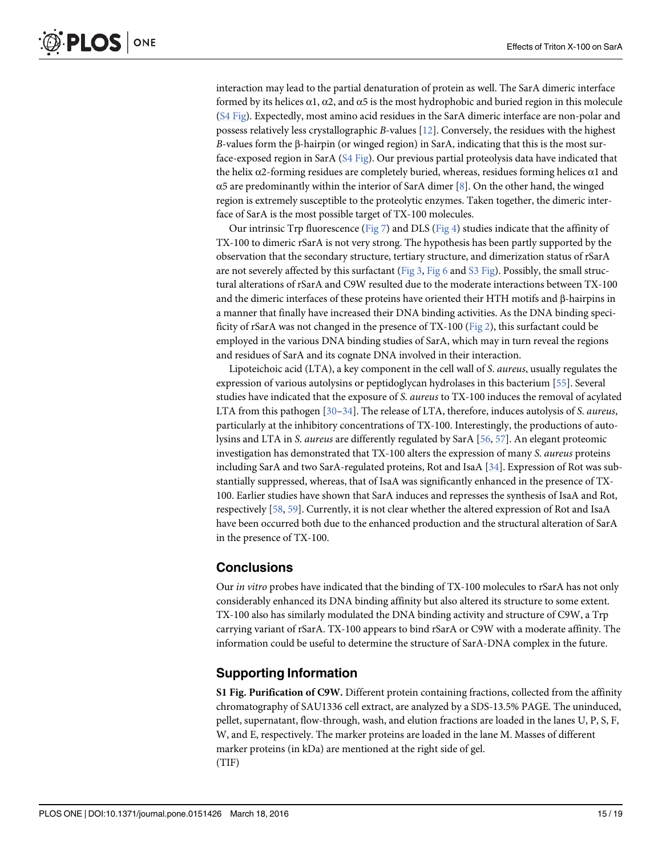interaction may lead to the partial denaturation of protein as well. The SarA dimeric interface formed by its helices  $\alpha$ 1,  $\alpha$ 2, and  $\alpha$ 5 is the most hydrophobic and buried region in this molecule (S4 Fig). Expectedly, most amino acid residues in the SarA dimeric interface are non-polar and possess relatively less crystallographic B-values [12]. Conversely, the residues with the highest B-values form the β-hairpin (or winged region) in SarA, indicating that this is the most surface-exposed region in SarA (S4 Fig). Our previous partial proteolysis data have indicated that the helix α2-forming residues are completely buried, whereas, residues forming helices α1 and  $\alpha$ 5 are predominantly within the interior of SarA dimer [8]. On the other hand, the winged region is extremely susceptible to the proteolytic enzymes. Taken together, the dimeric interface of SarA is the most possible target of TX-100 molecules.

Our intrinsic Trp fluorescence (Fig 7) and DLS (Fig 4) studies indicate that the affinity of TX-100 to dimeric rSarA is not very strong. The hypothesis has been partly supported by the observation that the secondary structure, tertiary structure, and dimerization status of rSarA are not severely affected by this surfactant (Fig 3, Fig 6 and S3 Fig). Possibly, the small structural alterations of rSarA and C9W resulted due to the moderate interactions between TX-100 and the dimeric interfaces of these proteins have oriented their HTH motifs and β-hairpins in a manner that finally have increased their DNA binding activities. As the DNA binding specificity of rSarA was not changed in the presence of TX-100 (Fig 2), this surfactant could be employed in the various DNA binding studies of SarA, which may in turn reveal the regions and residues of SarA and its cognate DNA involved in their interaction.

Lipoteichoic acid (LTA), a key component in the cell wall of S. aureus, usually regulates the expression of various autolysins or peptidoglycan hydrolases in this bacterium [55]. Several studies have indicated that the exposure of S. aureus to TX-100 induces the removal of acylated LTA from this pathogen  $[30-34]$ . The release of LTA, therefore, induces autolysis of S. *aureus*, particularly at the inhibitory concentrations of TX-100. Interestingly, the productions of autolysins and LTA in S. aureus are differently regulated by SarA [56, 57]. An elegant proteomic investigation has demonstrated that TX-100 alters the expression of many S. aureus proteins including SarA and two SarA-regulated proteins, Rot and IsaA [34]. Expression of Rot was substantially suppressed, whereas, that of IsaA was significantly enhanced in the presence of TX-100. Earlier studies have shown that SarA induces and represses the synthesis of IsaA and Rot, respectively [58, 59]. Currently, it is not clear whether the altered expression of Rot and IsaA have been occurred both due to the enhanced production and the structural alteration of SarA in the presence of TX-100.

# Conclusions

Our in vitro probes have indicated that the binding of TX-100 molecules to rSarA has not only considerably enhanced its DNA binding affinity but also altered its structure to some extent. TX-100 also has similarly modulated the DNA binding activity and structure of C9W, a Trp carrying variant of rSarA. TX-100 appears to bind rSarA or C9W with a moderate affinity. The information could be useful to determine the structure of SarA-DNA complex in the future.

# Supporting Information

S1 Fig. Purification of C9W. Different protein containing fractions, collected from the affinity chromatography of SAU1336 cell extract, are analyzed by a SDS-13.5% PAGE. The uninduced, pellet, supernatant, flow-through, wash, and elution fractions are loaded in the lanes U, P, S, F, W, and E, respectively. The marker proteins are loaded in the lane M. Masses of different marker proteins (in kDa) are mentioned at the right side of gel. (TIF)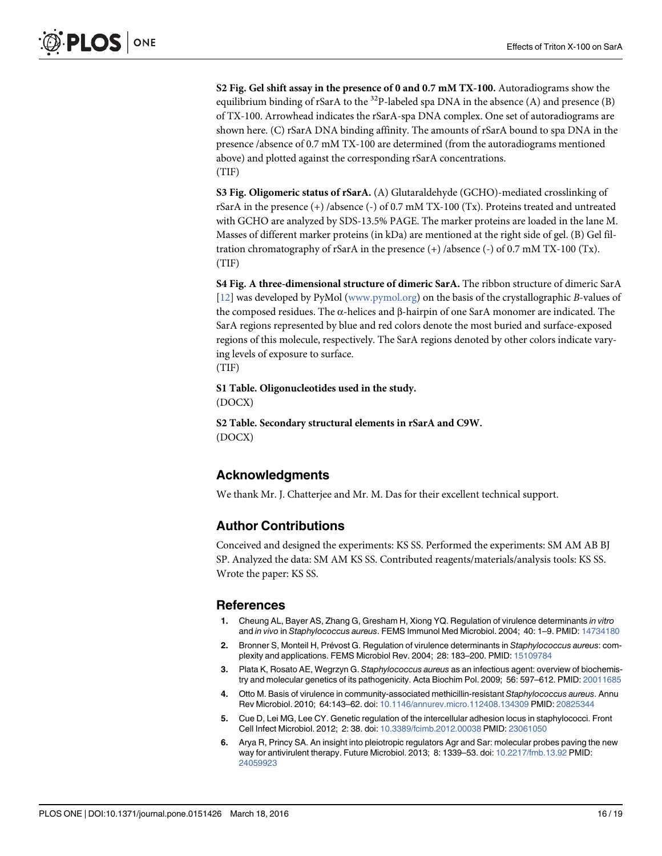S2 Fig. Gel shift assay in the presence of 0 and 0.7 mM TX-100. Autoradiograms show the equilibrium binding of rSarA to the  $32P$ -labeled spa DNA in the absence (A) and presence (B) of TX-100. Arrowhead indicates the rSarA-spa DNA complex. One set of autoradiograms are shown here. (C) rSarA DNA binding affinity. The amounts of rSarA bound to spa DNA in the presence /absence of 0.7 mM TX-100 are determined (from the autoradiograms mentioned above) and plotted against the corresponding rSarA concentrations. (TIF)

S3 Fig. Oligomeric status of rSarA. (A) Glutaraldehyde (GCHO)-mediated crosslinking of rSarA in the presence (+) /absence (-) of 0.7 mM TX-100 (Tx). Proteins treated and untreated with GCHO are analyzed by SDS-13.5% PAGE. The marker proteins are loaded in the lane M. Masses of different marker proteins (in kDa) are mentioned at the right side of gel. (B) Gel filtration chromatography of rSarA in the presence  $(+)$  /absence  $(-)$  of 0.7 mM TX-100 (Tx). (TIF)

S4 Fig. A three-dimensional structure of dimeric SarA. The ribbon structure of dimeric SarA [12] was developed by PyMol (www.pymol.org) on the basis of the crystallographic B-values of the composed residues. The α-helices and β-hairpin of one SarA monomer are indicated. The SarA regions represented by blue and red colors denote the most buried and surface-exposed regions of this molecule, respectively. The SarA regions denoted by other colors indicate varying levels of exposure to surface.

(TIF)

S1 Table. Oligonucleotides used in the study.

(DOCX)

S2 Table. Secondary structural elements in rSarA and C9W. (DOCX)

# Acknowledgments

We thank Mr. J. Chatterjee and Mr. M. Das for their excellent technical support.

# Author Contributions

Conceived and designed the experiments: KS SS. Performed the experiments: SM AM AB BJ SP. Analyzed the data: SM AM KS SS. Contributed reagents/materials/analysis tools: KS SS. Wrote the paper: KS SS.

#### References

- 1. Cheung AL, Bayer AS, Zhang G, Gresham H, Xiong YQ. Regulation of virulence determinants in vitro and in vivo in Staphylococcus aureus. FEMS Immunol Med Microbiol. 2004; 40: 1–9. PMID: 14734180
- 2. Bronner S, Monteil H, Prévost G. Regulation of virulence determinants in Staphylococcus aureus: complexity and applications. FEMS Microbiol Rev. 2004; 28: 183–200. PMID: 15109784
- 3. Plata K, Rosato AE, Wegrzyn G. Staphylococcus aureus as an infectious agent: overview of biochemistry and molecular genetics of its pathogenicity. Acta Biochim Pol. 2009; 56: 597–612. PMID: 20011685
- 4. Otto M. Basis of virulence in community-associated methicillin-resistant Staphylococcus aureus. Annu Rev Microbiol. 2010; 64:143–62. doi: 10.1146/annurev.micro.112408.134309 PMID: 20825344
- 5. Cue D, Lei MG, Lee CY. Genetic regulation of the intercellular adhesion locus in staphylococci. Front Cell Infect Microbiol. 2012; 2: 38. doi: 10.3389/fcimb.2012.00038 PMID: 23061050
- 6. Arya R, Princy SA. An insight into pleiotropic regulators Agr and Sar: molecular probes paving the new way for antivirulent therapy. Future Microbiol. 2013; 8: 1339–53. doi: 10.2217/fmb.13.92 PMID: 24059923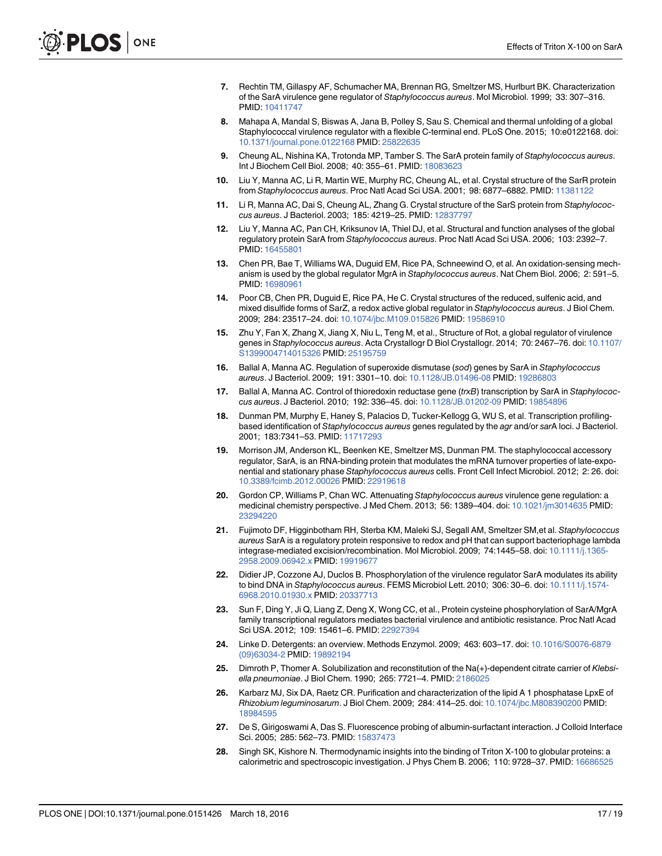- 7. Rechtin TM, Gillaspy AF, Schumacher MA, Brennan RG, Smeltzer MS, Hurlburt BK. Characterization of the SarA virulence gene regulator of Staphylococcus aureus. Mol Microbiol. 1999; 33: 307–316. PMID: 10411747
- 8. Mahapa A, Mandal S, Biswas A, Jana B, Polley S, Sau S. Chemical and thermal unfolding of a global Staphylococcal virulence regulator with a flexible C-terminal end. PLoS One. 2015; 10:e0122168. doi: 10.1371/journal.pone.0122168 PMID: 25822635
- 9. Cheung AL, Nishina KA, Trotonda MP, Tamber S. The SarA protein family of Staphylococcus aureus. Int J Biochem Cell Biol. 2008; 40: 355–61. PMID: 18083623
- 10. Liu Y, Manna AC, Li R, Martin WE, Murphy RC, Cheung AL, et al. Crystal structure of the SarR protein from Staphylococcus aureus. Proc Natl Acad Sci USA. 2001; 98: 6877-6882. PMID: 11381122
- 11. Li R, Manna AC, Dai S, Cheung AL, Zhang G. Crystal structure of the SarS protein from Staphylococcus aureus. J Bacteriol. 2003; 185: 4219–25. PMID: 12837797
- 12. Liu Y, Manna AC, Pan CH, Kriksunov IA, Thiel DJ, et al. Structural and function analyses of the global regulatory protein SarA from Staphylococcus aureus. Proc Natl Acad Sci USA. 2006; 103: 2392–7. PMID: 16455801
- 13. Chen PR, Bae T, Williams WA, Duguid EM, Rice PA, Schneewind O, et al. An oxidation-sensing mechanism is used by the global regulator MgrA in Staphylococcus aureus. Nat Chem Biol. 2006; 2: 591–5. PMID: 16980961
- 14. Poor CB, Chen PR, Duguid E, Rice PA, He C. Crystal structures of the reduced, sulfenic acid, and mixed disulfide forms of SarZ, a redox active global regulator in Staphylococcus aureus. J Biol Chem. 2009; 284: 23517–24. doi: 10.1074/jbc.M109.015826 PMID: 19586910
- 15. Zhu Y, Fan X, Zhang X, Jiang X, Niu L, Teng M, et al., Structure of Rot, a global regulator of virulence genes in Staphylococcus aureus. Acta Crystallogr D Biol Crystallogr. 2014; 70: 2467–76. doi: 10.1107/ S1399004714015326 PMID: 25195759
- 16. Ballal A, Manna AC. Regulation of superoxide dismutase (sod) genes by SarA in Staphylococcus aureus. J Bacteriol. 2009; 191: 3301–10. doi: 10.1128/JB.01496-08 PMID: 19286803
- 17. Ballal A, Manna AC. Control of thioredoxin reductase gene (trxB) transcription by SarA in Staphylococcus aureus. J Bacteriol. 2010; 192: 336–45. doi: 10.1128/JB.01202-09 PMID: 19854896
- 18. Dunman PM, Murphy E, Haney S, Palacios D, Tucker-Kellogg G, WU S, et al. Transcription profilingbased identification of Staphylococcus aureus genes regulated by the agr and/or sarA loci. J Bacteriol. 2001; 183:7341–53. PMID: 11717293
- 19. Morrison JM, Anderson KL, Beenken KE, Smeltzer MS, Dunman PM. The staphylococcal accessory regulator, SarA, is an RNA-binding protein that modulates the mRNA turnover properties of late-exponential and stationary phase Staphylococcus aureus cells. Front Cell Infect Microbiol. 2012; 2: 26. doi: 10.3389/fcimb.2012.00026 PMID: 22919618
- 20. Gordon CP, Williams P, Chan WC. Attenuating Staphylococcus aureus virulence gene regulation: a medicinal chemistry perspective. J Med Chem. 2013; 56: 1389–404. doi: 10.1021/jm3014635 PMID: 23294220
- 21. Fujimoto DF, Higginbotham RH, Sterba KM, Maleki SJ, Segall AM, Smeltzer SM,et al. Staphylococcus aureus SarA is a regulatory protein responsive to redox and pH that can support bacteriophage lambda integrase-mediated excision/recombination. Mol Microbiol. 2009; 74:1445–58. doi: 10.1111/j.1365- 2958.2009.06942.x PMID: 19919677
- 22. Didier JP, Cozzone AJ, Duclos B. Phosphorylation of the virulence regulator SarA modulates its ability to bind DNA in Staphylococcus aureus. FEMS Microbiol Lett. 2010; 306: 30–6. doi: 10.1111/j.1574- 6968.2010.01930.x PMID: 20337713
- 23. Sun F, Ding Y, Ji Q, Liang Z, Deng X, Wong CC, et al., Protein cysteine phosphorylation of SarA/MgrA family transcriptional regulators mediates bacterial virulence and antibiotic resistance. Proc Natl Acad Sci USA. 2012; 109: 15461–6. PMID: 22927394
- 24. Linke D. Detergents: an overview. Methods Enzymol. 2009; 463: 603–17. doi: 10.1016/S0076-6879 (09)63034-2 PMID: 19892194
- 25. Dimroth P, Thomer A. Solubilization and reconstitution of the Na(+)-dependent citrate carrier of Klebsiella pneumoniae. J Biol Chem. 1990; 265: 7721-4. PMID: 2186025
- 26. Karbarz MJ, Six DA, Raetz CR. Purification and characterization of the lipid A 1 phosphatase LpxE of Rhizobium leguminosarum. J Biol Chem. 2009; 284: 414–25. doi: 10.1074/jbc.M808390200 PMID: 18984595
- 27. De S, Girigoswami A, Das S. Fluorescence probing of albumin-surfactant interaction. J Colloid Interface Sci. 2005; 285: 562-73. PMID: 15837473
- 28. Singh SK, Kishore N. Thermodynamic insights into the binding of Triton X-100 to globular proteins: a calorimetric and spectroscopic investigation. J Phys Chem B. 2006; 110: 9728–37. PMID: 16686525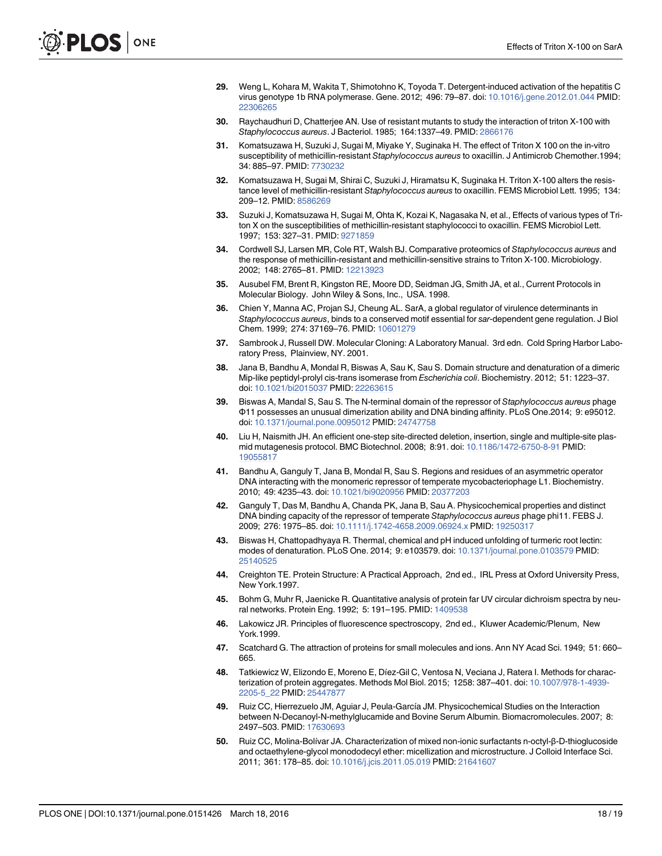- 29. Weng L, Kohara M, Wakita T, Shimotohno K, Toyoda T. Detergent-induced activation of the hepatitis C virus genotype 1b RNA polymerase. Gene. 2012; 496: 79–87. doi: 10.1016/j.gene.2012.01.044 PMID: 22306265
- 30. Raychaudhuri D, Chatterjee AN. Use of resistant mutants to study the interaction of triton X-100 with Staphylococcus aureus. J Bacteriol. 1985; 164:1337–49. PMID: 2866176
- 31. Komatsuzawa H, Suzuki J, Sugai M, Miyake Y, Suginaka H. The effect of Triton X 100 on the in-vitro susceptibility of methicillin-resistant Staphylococcus aureus to oxacillin. J Antimicrob Chemother.1994; 34: 885–97. PMID: 7730232
- 32. Komatsuzawa H, Sugai M, Shirai C, Suzuki J, Hiramatsu K, Suginaka H. Triton X-100 alters the resistance level of methicillin-resistant Staphylococcus aureus to oxacillin. FEMS Microbiol Lett. 1995; 134: 209–12. PMID: 8586269
- 33. Suzuki J, Komatsuzawa H, Sugai M, Ohta K, Kozai K, Nagasaka N, et al., Effects of various types of Triton X on the susceptibilities of methicillin-resistant staphylococci to oxacillin. FEMS Microbiol Lett. 1997; 153: 327–31. PMID: 9271859
- 34. Cordwell SJ, Larsen MR, Cole RT, Walsh BJ. Comparative proteomics of Staphylococcus aureus and the response of methicillin-resistant and methicillin-sensitive strains to Triton X-100. Microbiology. 2002; 148: 2765–81. PMID: 12213923
- 35. Ausubel FM, Brent R, Kingston RE, Moore DD, Seidman JG, Smith JA, et al., Current Protocols in Molecular Biology. John Wiley & Sons, Inc., USA. 1998.
- 36. Chien Y, Manna AC, Projan SJ, Cheung AL. SarA, a global regulator of virulence determinants in Staphylococcus aureus, binds to a conserved motif essential for sar-dependent gene regulation. J Biol Chem. 1999; 274: 37169–76. PMID: 10601279
- 37. Sambrook J, Russell DW. Molecular Cloning: A Laboratory Manual. 3rd edn. Cold Spring Harbor Laboratory Press, Plainview, NY. 2001.
- 38. Jana B, Bandhu A, Mondal R, Biswas A, Sau K, Sau S. Domain structure and denaturation of a dimeric Mip-like peptidyl-prolyl cis-trans isomerase from Escherichia coli. Biochemistry. 2012; 51: 1223–37. doi: 10.1021/bi2015037 PMID: 22263615
- 39. Biswas A, Mandal S, Sau S. The N-terminal domain of the repressor of Staphylococcus aureus phage Φ11 possesses an unusual dimerization ability and DNA binding affinity. PLoS One.2014; 9: e95012. doi: 10.1371/journal.pone.0095012 PMID: 24747758
- 40. Liu H, Naismith JH. An efficient one-step site-directed deletion, insertion, single and multiple-site plasmid mutagenesis protocol. BMC Biotechnol. 2008; 8:91. doi: 10.1186/1472-6750-8-91 PMID: 19055817
- 41. Bandhu A, Ganguly T, Jana B, Mondal R, Sau S. Regions and residues of an asymmetric operator DNA interacting with the monomeric repressor of temperate mycobacteriophage L1. Biochemistry. 2010; 49: 4235–43. doi: 10.1021/bi9020956 PMID: 20377203
- 42. Ganguly T, Das M, Bandhu A, Chanda PK, Jana B, Sau A. Physicochemical properties and distinct DNA binding capacity of the repressor of temperate Staphylococcus aureus phage phi11. FEBS J. 2009; 276: 1975–85. doi: 10.1111/j.1742-4658.2009.06924.x PMID: 19250317
- 43. Biswas H, Chattopadhyaya R. Thermal, chemical and pH induced unfolding of turmeric root lectin: modes of denaturation. PLoS One. 2014; 9: e103579. doi: 10.1371/journal.pone.0103579 PMID: 25140525
- 44. Creighton TE. Protein Structure: A Practical Approach, 2nd ed., IRL Press at Oxford University Press, New York.1997.
- 45. Bohm G, Muhr R, Jaenicke R. Quantitative analysis of protein far UV circular dichroism spectra by neural networks. Protein Eng. 1992; 5: 191–195. PMID: 1409538
- 46. Lakowicz JR. Principles of fluorescence spectroscopy, 2nd ed., Kluwer Academic/Plenum, New York.1999.
- 47. Scatchard G. The attraction of proteins for small molecules and ions. Ann NY Acad Sci. 1949; 51: 660– 665.
- 48. Tatkiewicz W, Elizondo E, Moreno E, Díez-Gil C, Ventosa N, Veciana J, Ratera I. Methods for characterization of protein aggregates. Methods Mol Biol. 2015; 1258: 387–401. doi: 10.1007/978-1-4939- 2205-5\_22 PMID: 25447877
- 49. Ruiz CC, Hierrezuelo JM, Aguiar J, Peula-García JM. Physicochemical Studies on the Interaction between N-Decanoyl-N-methylglucamide and Bovine Serum Albumin. Biomacromolecules. 2007; 8: 2497–503. PMID: 17630693
- 50. Ruiz CC, Molina-Bolívar JA. Characterization of mixed non-ionic surfactants n-octyl-β-D-thioglucoside and octaethylene-glycol monododecyl ether: micellization and microstructure. J Colloid Interface Sci. 2011; 361: 178–85. doi: 10.1016/j.jcis.2011.05.019 PMID: 21641607